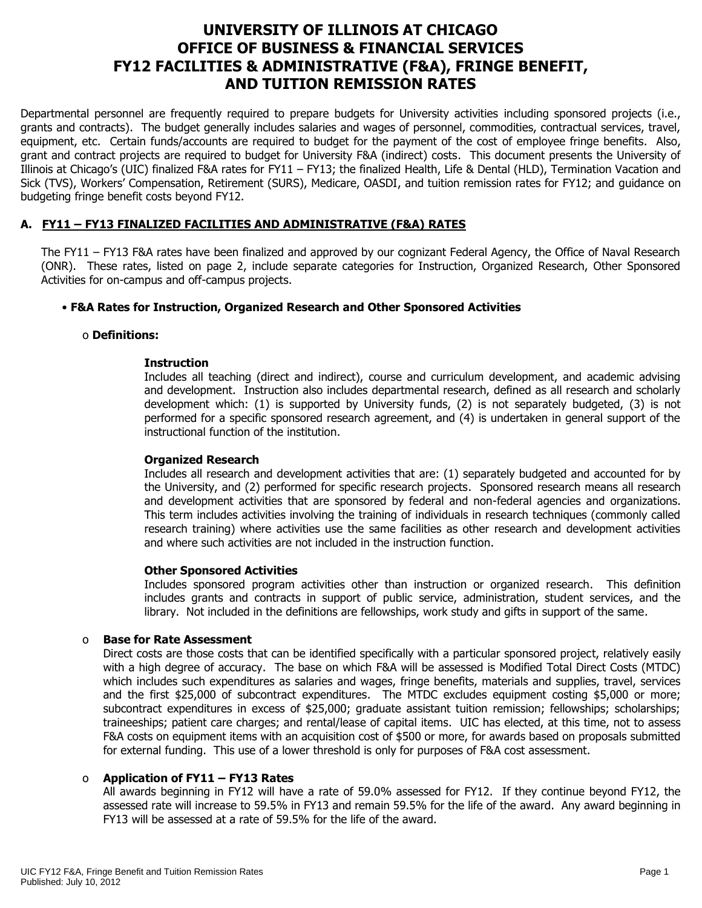# **UNIVERSITY OF ILLINOIS AT CHICAGO OFFICE OF BUSINESS & FINANCIAL SERVICES FY12 FACILITIES & ADMINISTRATIVE (F&A), FRINGE BENEFIT, AND TUITION REMISSION RATES**

Departmental personnel are frequently required to prepare budgets for University activities including sponsored projects (i.e., grants and contracts). The budget generally includes salaries and wages of personnel, commodities, contractual services, travel, equipment, etc. Certain funds/accounts are required to budget for the payment of the cost of employee fringe benefits. Also, grant and contract projects are required to budget for University F&A (indirect) costs. This document presents the University of Illinois at Chicago's (UIC) finalized F&A rates for FY11 – FY13; the finalized Health, Life & Dental (HLD), Termination Vacation and Sick (TVS), Workers' Compensation, Retirement (SURS), Medicare, OASDI, and tuition remission rates for FY12; and guidance on budgeting fringe benefit costs beyond FY12.

# **A. FY11 – FY13 FINALIZED FACILITIES AND ADMINISTRATIVE (F&A) RATES**

The FY11 – FY13 F&A rates have been finalized and approved by our cognizant Federal Agency, the Office of Naval Research (ONR). These rates, listed on page 2, include separate categories for Instruction, Organized Research, Other Sponsored Activities for on-campus and off-campus projects.

## • **F&A Rates for Instruction, Organized Research and Other Sponsored Activities**

#### o **Definitions:**

#### **Instruction**

Includes all teaching (direct and indirect), course and curriculum development, and academic advising and development. Instruction also includes departmental research, defined as all research and scholarly development which: (1) is supported by University funds, (2) is not separately budgeted, (3) is not performed for a specific sponsored research agreement, and (4) is undertaken in general support of the instructional function of the institution.

#### **Organized Research**

Includes all research and development activities that are: (1) separately budgeted and accounted for by the University, and (2) performed for specific research projects. Sponsored research means all research and development activities that are sponsored by federal and non-federal agencies and organizations. This term includes activities involving the training of individuals in research techniques (commonly called research training) where activities use the same facilities as other research and development activities and where such activities are not included in the instruction function.

#### **Other Sponsored Activities**

Includes sponsored program activities other than instruction or organized research. This definition includes grants and contracts in support of public service, administration, student services, and the library. Not included in the definitions are fellowships, work study and gifts in support of the same.

#### o **Base for Rate Assessment**

Direct costs are those costs that can be identified specifically with a particular sponsored project, relatively easily with a high degree of accuracy. The base on which F&A will be assessed is Modified Total Direct Costs (MTDC) which includes such expenditures as salaries and wages, fringe benefits, materials and supplies, travel, services and the first \$25,000 of subcontract expenditures. The MTDC excludes equipment costing \$5,000 or more; subcontract expenditures in excess of \$25,000; graduate assistant tuition remission; fellowships; scholarships; traineeships; patient care charges; and rental/lease of capital items. UIC has elected, at this time, not to assess F&A costs on equipment items with an acquisition cost of \$500 or more, for awards based on proposals submitted for external funding. This use of a lower threshold is only for purposes of F&A cost assessment.

## o **Application of FY11 – FY13 Rates**

All awards beginning in FY12 will have a rate of 59.0% assessed for FY12. If they continue beyond FY12, the assessed rate will increase to 59.5% in FY13 and remain 59.5% for the life of the award. Any award beginning in FY13 will be assessed at a rate of 59.5% for the life of the award.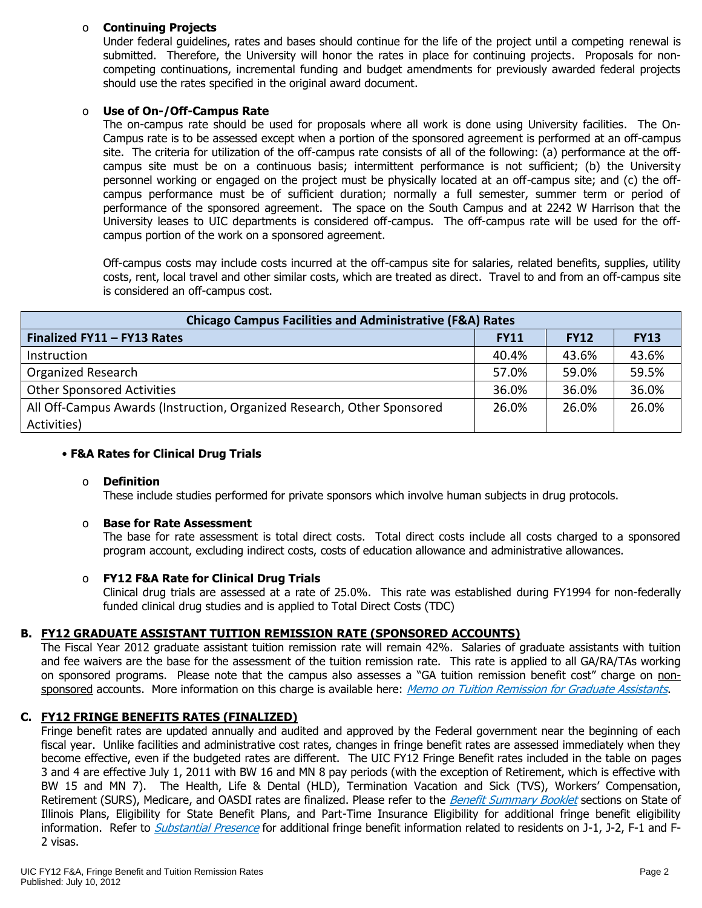## o **Continuing Projects**

Under federal guidelines, rates and bases should continue for the life of the project until a competing renewal is submitted. Therefore, the University will honor the rates in place for continuing projects. Proposals for noncompeting continuations, incremental funding and budget amendments for previously awarded federal projects should use the rates specified in the original award document.

## o **Use of On-/Off-Campus Rate**

The on-campus rate should be used for proposals where all work is done using University facilities. The On-Campus rate is to be assessed except when a portion of the sponsored agreement is performed at an off-campus site. The criteria for utilization of the off-campus rate consists of all of the following: (a) performance at the offcampus site must be on a continuous basis; intermittent performance is not sufficient; (b) the University personnel working or engaged on the project must be physically located at an off-campus site; and (c) the offcampus performance must be of sufficient duration; normally a full semester, summer term or period of performance of the sponsored agreement. The space on the South Campus and at 2242 W Harrison that the University leases to UIC departments is considered off-campus. The off-campus rate will be used for the offcampus portion of the work on a sponsored agreement.

Off-campus costs may include costs incurred at the off-campus site for salaries, related benefits, supplies, utility costs, rent, local travel and other similar costs, which are treated as direct. Travel to and from an off-campus site is considered an off-campus cost.

| <b>Chicago Campus Facilities and Administrative (F&amp;A) Rates</b>     |             |             |             |  |  |  |
|-------------------------------------------------------------------------|-------------|-------------|-------------|--|--|--|
| Finalized FY11 - FY13 Rates                                             | <b>FY11</b> | <b>FY12</b> | <b>FY13</b> |  |  |  |
| Instruction                                                             | 40.4%       | 43.6%       | 43.6%       |  |  |  |
| <b>Organized Research</b>                                               | 57.0%       | 59.0%       | 59.5%       |  |  |  |
| <b>Other Sponsored Activities</b>                                       | 36.0%       | 36.0%       | 36.0%       |  |  |  |
| All Off-Campus Awards (Instruction, Organized Research, Other Sponsored | 26.0%       | 26.0%       | 26.0%       |  |  |  |
| Activities)                                                             |             |             |             |  |  |  |

## • **F&A Rates for Clinical Drug Trials**

#### o **Definition**

These include studies performed for private sponsors which involve human subjects in drug protocols.

## o **Base for Rate Assessment**

The base for rate assessment is total direct costs. Total direct costs include all costs charged to a sponsored program account, excluding indirect costs, costs of education allowance and administrative allowances.

## o **FY12 F&A Rate for Clinical Drug Trials**

Clinical drug trials are assessed at a rate of 25.0%. This rate was established during FY1994 for non-federally funded clinical drug studies and is applied to Total Direct Costs (TDC)

## **B. FY12 GRADUATE ASSISTANT TUITION REMISSION RATE (SPONSORED ACCOUNTS)**

The Fiscal Year 2012 graduate assistant tuition remission rate will remain 42%.Salaries of graduate assistants with tuition and fee waivers are the base for the assessment of the tuition remission rate. This rate is applied to all GA/RA/TAs working on sponsored programs. Please note that the campus also assesses a "GA tuition remission benefit cost" charge on non-sponsored accounts. More information on this charge is available here: [Memo on Tuition Remission for Graduate Assistants](https://www.obfs.uillinois.edu/common/pages/DisplayFile.aspx?itemId=436386).

## **C. FY12 FRINGE BENEFITS RATES (FINALIZED)**

Fringe benefit rates are updated annually and audited and approved by the Federal government near the beginning of each fiscal year. Unlike facilities and administrative cost rates, changes in fringe benefit rates are assessed immediately when they become effective, even if the budgeted rates are different. The UIC FY12 Fringe Benefit rates included in the table on pages 3 and 4 are effective July 1, 2011 with BW 16 and MN 8 pay periods (with the exception of Retirement, which is effective with BW 15 and MN 7). The Health, Life & Dental (HLD), Termination Vacation and Sick (TVS), Workers' Compensation, Retirement (SURS), Medicare, and OASDI rates are finalized. Please refer to the [Benefit Summary Booklet](https://nessie.uihr.uillinois.edu/pdf/benefits/benefitsummarybooklet.pdf) sections on State of Illinois Plans, Eligibility for State Benefit Plans, and Part-Time Insurance Eligibility for additional fringe benefit eligibility information. Refer to *[Substantial Presence](http://www.uic.edu/com/gme/rpm_comp___benefits.htm#real_substantial_pres)* for additional fringe benefit information related to residents on J-1, J-2, F-1 and F-2 visas.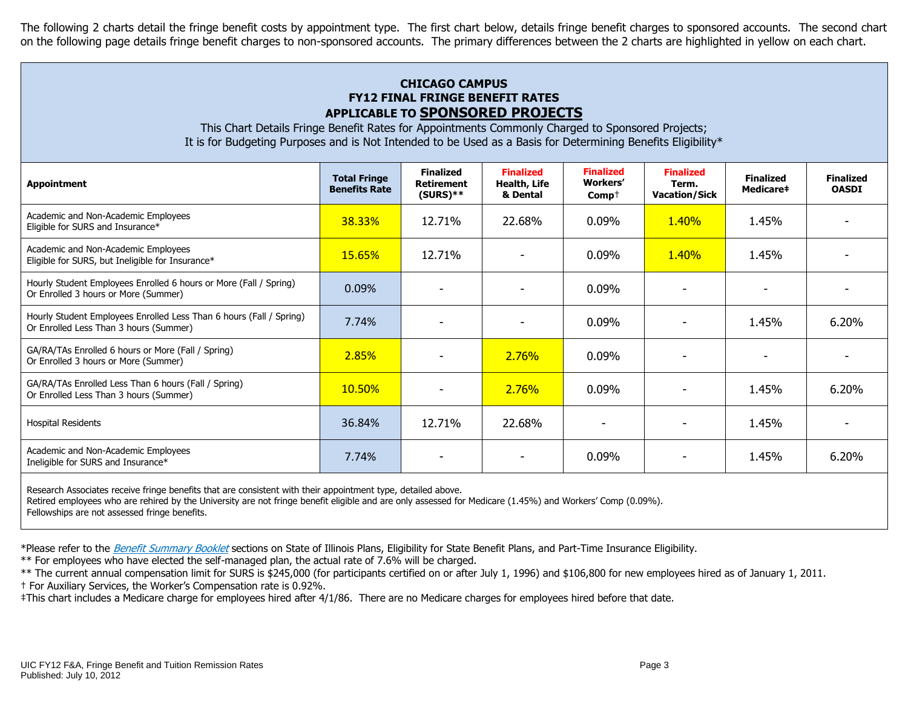The following 2 charts detail the fringe benefit costs by appointment type. The first chart below, details fringe benefit charges to sponsored accounts. The second chart on the following page details fringe benefit charges to non-sponsored accounts. The primary differences between the 2 charts are highlighted in yellow on each chart.

# **CHICAGO CAMPUS FY12 FINAL FRINGE BENEFIT RATES APPLICABLE TO SPONSORED PROJECTS**

This Chart Details Fringe Benefit Rates for Appointments Commonly Charged to Sponsored Projects; It is for Budgeting Purposes and is Not Intended to be Used as a Basis for Determining Benefits Eligibility\*

| <b>Appointment</b>                                                                                            | <b>Total Fringe</b><br><b>Benefits Rate</b> | <b>Finalized</b><br><b>Retirement</b><br>$(SURS)**$ | <b>Finalized</b><br>Health, Life<br>& Dental | <b>Finalized</b><br><b>Workers'</b><br>$Comp+$ | <b>Finalized</b><br>Term.<br><b>Vacation/Sick</b> | <b>Finalized</b><br>Medicare# | <b>Finalized</b><br><b>OASDI</b> |
|---------------------------------------------------------------------------------------------------------------|---------------------------------------------|-----------------------------------------------------|----------------------------------------------|------------------------------------------------|---------------------------------------------------|-------------------------------|----------------------------------|
| Academic and Non-Academic Employees<br>Eligible for SURS and Insurance*                                       | 38.33%                                      | 12.71%                                              | 22.68%                                       | $0.09\%$                                       | <b>1.40%</b>                                      | 1.45%                         |                                  |
| Academic and Non-Academic Employees<br>Eligible for SURS, but Ineligible for Insurance*                       | 15.65%                                      | 12.71%                                              |                                              | 0.09%                                          | <b>1.40%</b>                                      | 1.45%                         |                                  |
| Hourly Student Employees Enrolled 6 hours or More (Fall / Spring)<br>Or Enrolled 3 hours or More (Summer)     | $0.09\%$                                    |                                                     |                                              | 0.09%                                          |                                                   |                               |                                  |
| Hourly Student Employees Enrolled Less Than 6 hours (Fall / Spring)<br>Or Enrolled Less Than 3 hours (Summer) | 7.74%                                       |                                                     |                                              | 0.09%                                          |                                                   | 1.45%                         | 6.20%                            |
| GA/RA/TAs Enrolled 6 hours or More (Fall / Spring)<br>Or Enrolled 3 hours or More (Summer)                    | 2.85%                                       |                                                     | <b>2.76%</b>                                 | $0.09\%$                                       |                                                   |                               |                                  |
| GA/RA/TAs Enrolled Less Than 6 hours (Fall / Spring)<br>Or Enrolled Less Than 3 hours (Summer)                | 10.50%                                      |                                                     | 2.76%                                        | 0.09%                                          |                                                   | 1.45%                         | 6.20%                            |
| <b>Hospital Residents</b>                                                                                     | 36.84%                                      | 12.71%                                              | 22.68%                                       |                                                |                                                   | 1.45%                         |                                  |
| Academic and Non-Academic Employees<br>Ineligible for SURS and Insurance*                                     | 7.74%                                       |                                                     |                                              | 0.09%                                          |                                                   | 1.45%                         | 6.20%                            |
| Research Associates receive fringe benefits that are consistent with their appointment type, detailed above.  |                                             |                                                     |                                              |                                                |                                                   |                               |                                  |

Retired employees who are rehired by the University are not fringe benefit eligible and are only assessed for Medicare (1.45%) and Workers' Comp (0.09%).

Fellowships are not assessed fringe benefits.

\*Please refer to the [Benefit Summary Booklet](https://nessie.uihr.uillinois.edu/pdf/benefits/benefitsummarybooklet.pdf) sections on State of Illinois Plans, Eligibility for State Benefit Plans, and Part-Time Insurance Eligibility.

\*\* For employees who have elected the self-managed plan, the actual rate of 7.6% will be charged.

\*\* The current annual compensation limit for SURS is \$245,000 (for participants certified on or after July 1, 1996) and \$106,800 for new employees hired as of January 1, 2011.

† For Auxiliary Services, the Worker's Compensation rate is 0.92%.

‡This chart includes a Medicare charge for employees hired after 4/1/86. There are no Medicare charges for employees hired before that date.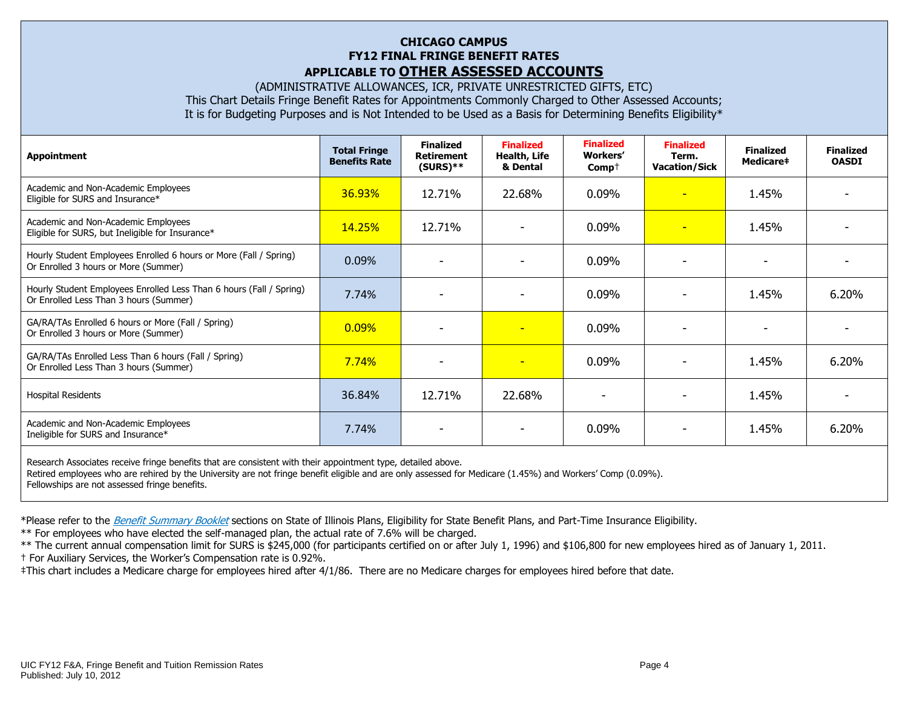## **CHICAGO CAMPUS FY12 FINAL FRINGE BENEFIT RATES APPLICABLE TO OTHER ASSESSED ACCOUNTS**

(ADMINISTRATIVE ALLOWANCES, ICR, PRIVATE UNRESTRICTED GIFTS, ETC) This Chart Details Fringe Benefit Rates for Appointments Commonly Charged to Other Assessed Accounts; It is for Budgeting Purposes and is Not Intended to be Used as a Basis for Determining Benefits Eligibility\*

| <b>Appointment</b>                                                                                            | <b>Total Fringe</b><br><b>Benefits Rate</b> | <b>Finalized</b><br><b>Retirement</b><br>$(SURS)**$ | <b>Finalized</b><br>Health, Life<br>& Dental | <b>Finalized</b><br>Workers'<br>$Comp+$ | <b>Finalized</b><br>Term.<br><b>Vacation/Sick</b> | <b>Finalized</b><br>Medicare‡ | <b>Finalized</b><br><b>OASDI</b> |
|---------------------------------------------------------------------------------------------------------------|---------------------------------------------|-----------------------------------------------------|----------------------------------------------|-----------------------------------------|---------------------------------------------------|-------------------------------|----------------------------------|
| Academic and Non-Academic Employees<br>Eligible for SURS and Insurance*                                       | 36.93%                                      | 12.71%                                              | 22.68%                                       | 0.09%                                   | $\overline{\phantom{a}}$                          | 1.45%                         |                                  |
| Academic and Non-Academic Employees<br>Eligible for SURS, but Ineligible for Insurance*                       | 14.25%                                      | 12.71%                                              |                                              | 0.09%                                   | ٠                                                 | 1.45%                         |                                  |
| Hourly Student Employees Enrolled 6 hours or More (Fall / Spring)<br>Or Enrolled 3 hours or More (Summer)     | 0.09%                                       |                                                     |                                              | 0.09%                                   |                                                   |                               |                                  |
| Hourly Student Employees Enrolled Less Than 6 hours (Fall / Spring)<br>Or Enrolled Less Than 3 hours (Summer) | 7.74%                                       |                                                     |                                              | 0.09%                                   |                                                   | 1.45%                         | 6.20%                            |
| GA/RA/TAs Enrolled 6 hours or More (Fall / Spring)<br>Or Enrolled 3 hours or More (Summer)                    | 0.09%                                       |                                                     | $\blacksquare$                               | 0.09%                                   | -                                                 | $\overline{\phantom{a}}$      |                                  |
| GA/RA/TAs Enrolled Less Than 6 hours (Fall / Spring)<br>Or Enrolled Less Than 3 hours (Summer)                | 7.74%                                       | $\overline{\phantom{0}}$                            | $\overline{\phantom{0}}$                     | 0.09%                                   |                                                   | 1.45%                         | 6.20%                            |
| Hospital Residents                                                                                            | 36.84%                                      | 12.71%                                              | 22.68%                                       | $\overline{\phantom{0}}$                |                                                   | 1.45%                         |                                  |
| Academic and Non-Academic Employees<br>Ineligible for SURS and Insurance*                                     | 7.74%                                       |                                                     |                                              | $0.09\%$                                |                                                   | 1.45%                         | 6.20%                            |
| Research Associates receive fringe benefits that are consistent with their appointment type, detailed above.  |                                             |                                                     |                                              |                                         |                                                   |                               |                                  |

Retired employees who are rehired by the University are not fringe benefit eligible and are only assessed for Medicare (1.45%) and Workers' Comp (0.09%). Fellowships are not assessed fringe benefits.

\*Please refer to the [Benefit Summary Booklet](https://nessie.uihr.uillinois.edu/pdf/benefits/benefitsummarybooklet.pdf) sections on State of Illinois Plans, Eligibility for State Benefit Plans, and Part-Time Insurance Eligibility.

\*\* For employees who have elected the self-managed plan, the actual rate of 7.6% will be charged.

\*\* The current annual compensation limit for SURS is \$245,000 (for participants certified on or after July 1, 1996) and \$106,800 for new employees hired as of January 1, 2011.

† For Auxiliary Services, the Worker's Compensation rate is 0.92%.

‡This chart includes a Medicare charge for employees hired after 4/1/86. There are no Medicare charges for employees hired before that date.